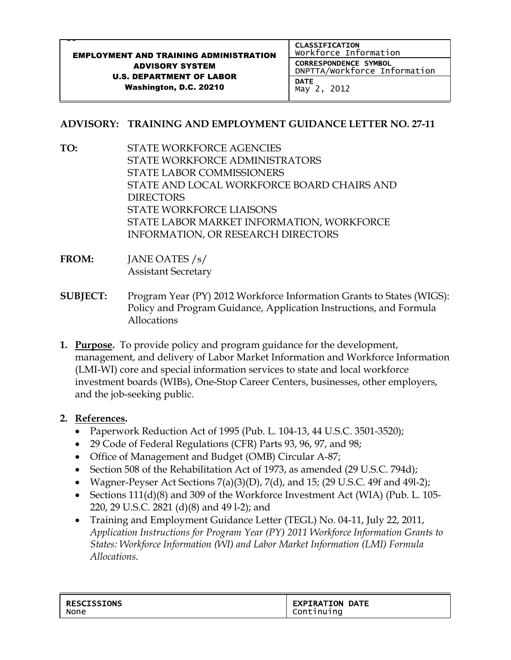## et in de la proponent de la proponent de la proponent de la proponent de la proponent de la proponent de la p<br>La proponent de la proponent de la proponent de la proponent de la proponent de la proponent de la proponent d EMPLOYMENT AND TRAINING ADMINISTRATION ADVISORY SYSTEM U.S. DEPARTMENT OF LABOR Washington, D.C. 20210 CLASSIFICATION Workforce Information CORRESPONDENCE SYMBOL DNPTTA/Workforce Information **DATE** May 2, 2012

## **ADVISORY: TRAINING AND EMPLOYMENT GUIDANCE LETTER NO. 27-11**

- **TO:** STATE WORKFORCE AGENCIES STATE WORKFORCE ADMINISTRATORS STATE LABOR COMMISSIONERS STATE AND LOCAL WORKFORCE BOARD CHAIRS AND DIRECTORS STATE WORKFORCE LIAISONS STATE LABOR MARKET INFORMATION, WORKFORCE INFORMATION, OR RESEARCH DIRECTORS
- **FROM:** JANE OATES /s/ Assistant Secretary
- **SUBJECT:** Program Year (PY) 2012 Workforce Information Grants to States (WIGS): Policy and Program Guidance, Application Instructions, and Formula Allocations
- **1. Purpose.** To provide policy and program guidance for the development, management, and delivery of Labor Market Information and Workforce Information (LMI-WI) core and special information services to state and local workforce investment boards (WIBs), One-Stop Career Centers, businesses, other employers, and the job-seeking public.

## **2. References.**

- Paperwork Reduction Act of 1995 (Pub. L. 104-13, 44 U.S.C. 3501-3520);
- 29 Code of Federal Regulations (CFR) Parts 93, 96, 97, and 98;
- Office of Management and Budget (OMB) Circular A-87;
- Section 508 of the Rehabilitation Act of 1973, as amended (29 U.S.C. 794d);
- Wagner-Peyser Act Sections  $7(a)(3)(D)$ ,  $7(d)$ , and 15; (29 U.S.C. 49f and 491-2);
- Sections 111(d)(8) and 309 of the Workforce Investment Act (WIA) (Pub. L. 105-220, 29 U.S.C. 2821 (d)(8) and 49 l-2); and
- Training and Employment Guidance Letter (TEGL) No. 04-11, July 22, 2011, *Application Instructions for Program Year (PY) 2011 Workforce Information Grants to States: Workforce Information (WI) and Labor Market Information (LMI) Formula Allocations*.

| <b>RESCISSIONS</b> | <b>EXPIRATION DATE</b> |
|--------------------|------------------------|
| None               | Continuing             |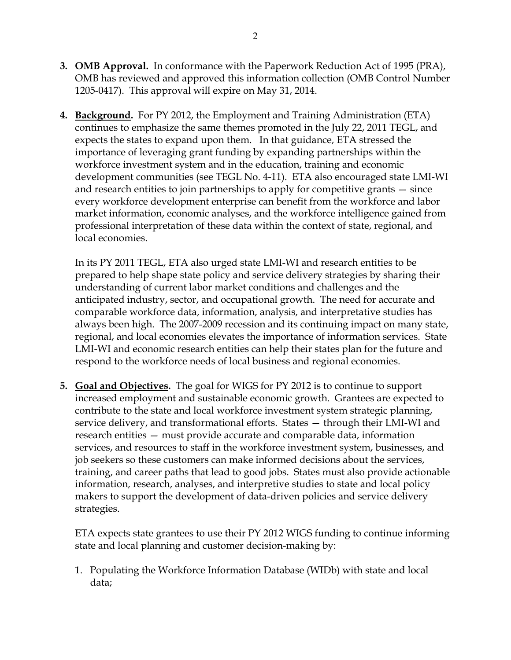- **3. OMB Approval.** In conformance with the Paperwork Reduction Act of 1995 (PRA), OMB has reviewed and approved this information collection (OMB Control Number 1205-0417). This approval will expire on May 31, 2014.
- **4. Background.** For PY 2012, the Employment and Training Administration (ETA) continues to emphasize the same themes promoted in the July 22, 2011 TEGL, and expects the states to expand upon them. In that guidance, ETA stressed the importance of leveraging grant funding by expanding partnerships within the workforce investment system and in the education, training and economic development communities (see TEGL No. 4-11). ETA also encouraged state LMI-WI and research entities to join partnerships to apply for competitive grants — since every workforce development enterprise can benefit from the workforce and labor market information, economic analyses, and the workforce intelligence gained from professional interpretation of these data within the context of state, regional, and local economies.

In its PY 2011 TEGL, ETA also urged state LMI-WI and research entities to be prepared to help shape state policy and service delivery strategies by sharing their understanding of current labor market conditions and challenges and the anticipated industry, sector, and occupational growth. The need for accurate and comparable workforce data, information, analysis, and interpretative studies has always been high. The 2007-2009 recession and its continuing impact on many state, regional, and local economies elevates the importance of information services. State LMI-WI and economic research entities can help their states plan for the future and respond to the workforce needs of local business and regional economies.

**5. Goal and Objectives.** The goal for WIGS for PY 2012 is to continue to support increased employment and sustainable economic growth. Grantees are expected to contribute to the state and local workforce investment system strategic planning, service delivery, and transformational efforts. States — through their LMI-WI and research entities — must provide accurate and comparable data, information services, and resources to staff in the workforce investment system, businesses, and job seekers so these customers can make informed decisions about the services, training, and career paths that lead to good jobs. States must also provide actionable information, research, analyses, and interpretive studies to state and local policy makers to support the development of data-driven policies and service delivery strategies.

ETA expects state grantees to use their PY 2012 WIGS funding to continue informing state and local planning and customer decision-making by:

1. Populating the Workforce Information Database (WIDb) with state and local data;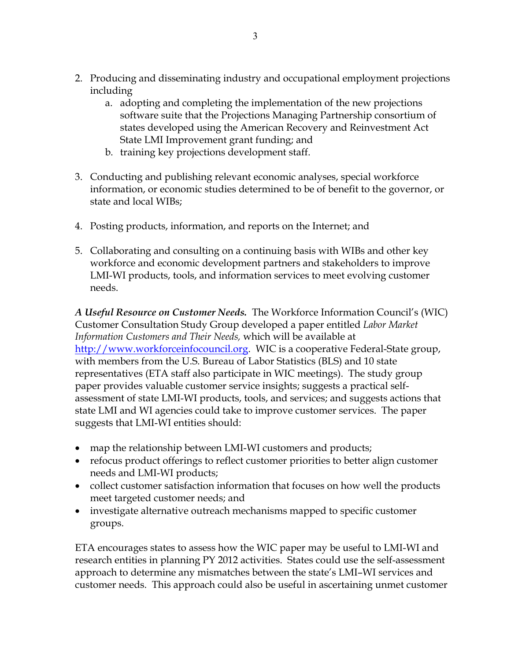- 2. Producing and disseminating industry and occupational employment projections including
	- a. adopting and completing the implementation of the new projections software suite that the Projections Managing Partnership consortium of states developed using the American Recovery and Reinvestment Act State LMI Improvement grant funding; and
	- b. training key projections development staff.
- 3. Conducting and publishing relevant economic analyses, special workforce information, or economic studies determined to be of benefit to the governor, or state and local WIBs;
- 4. Posting products, information, and reports on the Internet; and
- 5. Collaborating and consulting on a continuing basis with WIBs and other key workforce and economic development partners and stakeholders to improve LMI-WI products, tools, and information services to meet evolving customer needs.

*A Useful Resource on Customer Needs.* The Workforce Information Council's (WIC) Customer Consultation Study Group developed a paper entitled *Labor Market Information Customers and Their Needs,* which will be available at [http://www.workforceinfocouncil.org.](http://www.workforceinfocouncil.org/) WIC is a cooperative Federal-State group, with members from the U.S. Bureau of Labor Statistics (BLS) and 10 state representatives (ETA staff also participate in WIC meetings). The study group paper provides valuable customer service insights; suggests a practical selfassessment of state LMI-WI products, tools, and services; and suggests actions that state LMI and WI agencies could take to improve customer services. The paper suggests that LMI-WI entities should:

- map the relationship between LMI-WI customers and products;
- refocus product offerings to reflect customer priorities to better align customer needs and LMI-WI products;
- collect customer satisfaction information that focuses on how well the products meet targeted customer needs; and
- investigate alternative outreach mechanisms mapped to specific customer groups.

ETA encourages states to assess how the WIC paper may be useful to LMI-WI and research entities in planning PY 2012 activities. States could use the self-assessment approach to determine any mismatches between the state's LMI–WI services and customer needs. This approach could also be useful in ascertaining unmet customer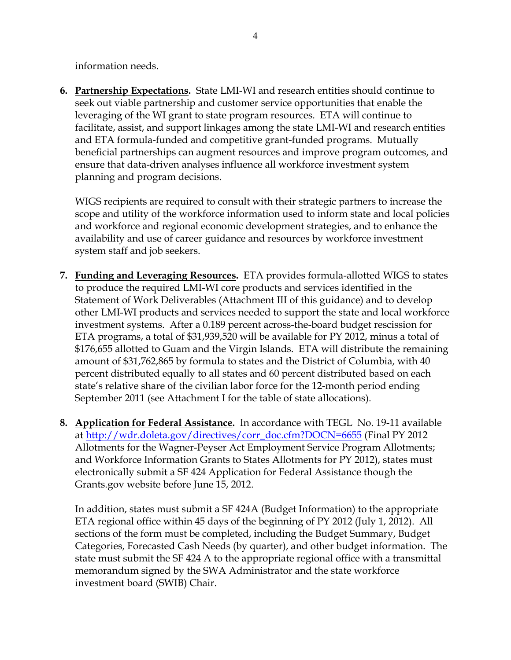information needs.

**6. Partnership Expectations.** State LMI-WI and research entities should continue to seek out viable partnership and customer service opportunities that enable the leveraging of the WI grant to state program resources. ETA will continue to facilitate, assist, and support linkages among the state LMI-WI and research entities and ETA formula-funded and competitive grant-funded programs. Mutually beneficial partnerships can augment resources and improve program outcomes, and ensure that data-driven analyses influence all workforce investment system planning and program decisions.

WIGS recipients are required to consult with their strategic partners to increase the scope and utility of the workforce information used to inform state and local policies and workforce and regional economic development strategies, and to enhance the availability and use of career guidance and resources by workforce investment system staff and job seekers.

- **7. Funding and Leveraging Resources.** ETA provides formula-allotted WIGS to states to produce the required LMI-WI core products and services identified in the Statement of Work Deliverables (Attachment III of this guidance) and to develop other LMI-WI products and services needed to support the state and local workforce investment systems. After a 0.189 percent across-the-board budget rescission for ETA programs, a total of \$31,939,520 will be available for PY 2012, minus a total of \$176,655 allotted to Guam and the Virgin Islands. ETA will distribute the remaining amount of \$31,762,865 by formula to states and the District of Columbia, with 40 percent distributed equally to all states and 60 percent distributed based on each state's relative share of the civilian labor force for the 12-month period ending September 2011 (see Attachment I for the table of state allocations).
- **8. Application for Federal Assistance.** In accordance with TEGL No. 19-11 available at [http://wdr.doleta.gov/directives/corr\\_doc.cfm?DOCN=6655](http://wdr.doleta.gov/directives/corr_doc.cfm?DOCN=6655) (Final PY 2012 Allotments for the Wagner-Peyser Act Employment Service Program Allotments; and Workforce Information Grants to States Allotments for PY 2012), states must electronically submit a SF 424 Application for Federal Assistance though the Grants.gov website before June 15, 2012.

In addition, states must submit a SF 424A (Budget Information) to the appropriate ETA regional office within 45 days of the beginning of PY 2012 (July 1, 2012). All sections of the form must be completed, including the Budget Summary, Budget Categories, Forecasted Cash Needs (by quarter), and other budget information. The state must submit the SF 424 A to the appropriate regional office with a transmittal memorandum signed by the SWA Administrator and the state workforce investment board (SWIB) Chair.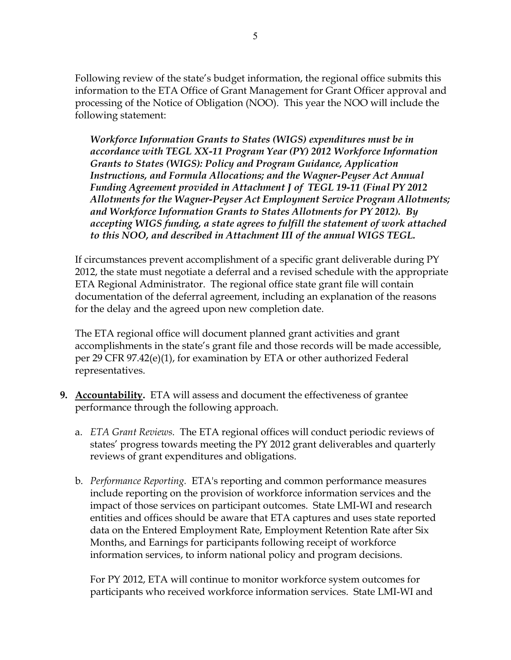Following review of the state's budget information, the regional office submits this information to the ETA Office of Grant Management for Grant Officer approval and processing of the Notice of Obligation (NOO). This year the NOO will include the following statement:

*Workforce Information Grants to States (WIGS) expenditures must be in accordance with TEGL XX-11 Program Year (PY) 2012 Workforce Information Grants to States (WIGS): Policy and Program Guidance, Application Instructions, and Formula Allocations; and the Wagner-Peyser Act Annual Funding Agreement provided in Attachment J of TEGL 19-11 (Final PY 2012 Allotments for the Wagner-Peyser Act Employment Service Program Allotments; and Workforce Information Grants to States Allotments for PY 2012). By accepting WIGS funding, a state agrees to fulfill the statement of work attached to this NOO, and described in Attachment III of the annual WIGS TEGL.*

If circumstances prevent accomplishment of a specific grant deliverable during PY 2012, the state must negotiate a deferral and a revised schedule with the appropriate ETA Regional Administrator. The regional office state grant file will contain documentation of the deferral agreement, including an explanation of the reasons for the delay and the agreed upon new completion date.

The ETA regional office will document planned grant activities and grant accomplishments in the state's grant file and those records will be made accessible, per 29 CFR 97.42(e)(1), for examination by ETA or other authorized Federal representatives.

- **9. Accountability.** ETA will assess and document the effectiveness of grantee performance through the following approach.
	- a. *ETA Grant Reviews.* The ETA regional offices will conduct periodic reviews of states' progress towards meeting the PY 2012 grant deliverables and quarterly reviews of grant expenditures and obligations.
	- b. *Performance Reporting.* ETA's reporting and common performance measures include reporting on the provision of workforce information services and the impact of those services on participant outcomes. State LMI-WI and research entities and offices should be aware that ETA captures and uses state reported data on the Entered Employment Rate, Employment Retention Rate after Six Months, and Earnings for participants following receipt of workforce information services, to inform national policy and program decisions.

For PY 2012, ETA will continue to monitor workforce system outcomes for participants who received workforce information services. State LMI-WI and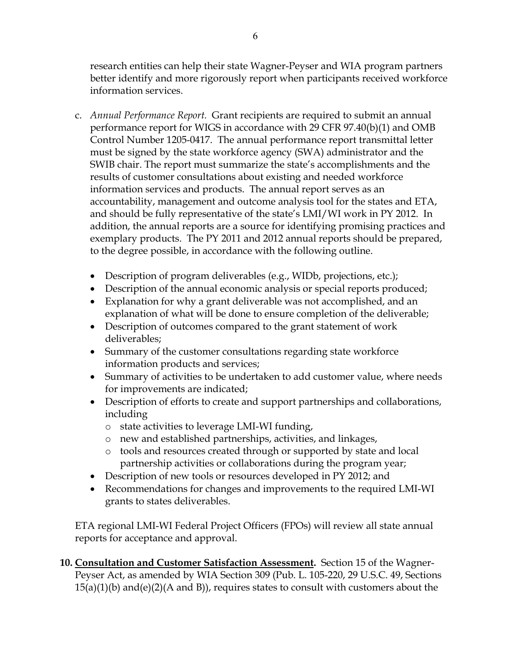research entities can help their state Wagner-Peyser and WIA program partners better identify and more rigorously report when participants received workforce information services.

- c. *Annual Performance Report.* Grant recipients are required to submit an annual performance report for WIGS in accordance with 29 CFR 97.40(b)(1) and OMB Control Number 1205-0417. The annual performance report transmittal letter must be signed by the state workforce agency (SWA) administrator and the SWIB chair. The report must summarize the state's accomplishments and the results of customer consultations about existing and needed workforce information services and products. The annual report serves as an accountability, management and outcome analysis tool for the states and ETA, and should be fully representative of the state's LMI/WI work in PY 2012. In addition, the annual reports are a source for identifying promising practices and exemplary products. The PY 2011 and 2012 annual reports should be prepared, to the degree possible, in accordance with the following outline.
	- Description of program deliverables (e.g., WIDb, projections, etc.);
	- Description of the annual economic analysis or special reports produced;
	- Explanation for why a grant deliverable was not accomplished, and an explanation of what will be done to ensure completion of the deliverable;
	- Description of outcomes compared to the grant statement of work deliverables;
	- Summary of the customer consultations regarding state workforce information products and services;
	- Summary of activities to be undertaken to add customer value, where needs for improvements are indicated;
	- Description of efforts to create and support partnerships and collaborations, including
		- o state activities to leverage LMI-WI funding,
		- o new and established partnerships, activities, and linkages,
		- o tools and resources created through or supported by state and local partnership activities or collaborations during the program year;
	- Description of new tools or resources developed in PY 2012; and
	- Recommendations for changes and improvements to the required LMI-WI grants to states deliverables.

ETA regional LMI-WI Federal Project Officers (FPOs) will review all state annual reports for acceptance and approval.

**10. Consultation and Customer Satisfaction Assessment.** Section 15 of the Wagner-Peyser Act, as amended by WIA Section 309 (Pub. L. 105-220, 29 U.S.C. 49, Sections  $15(a)(1)(b)$  and(e)(2)(A and B)), requires states to consult with customers about the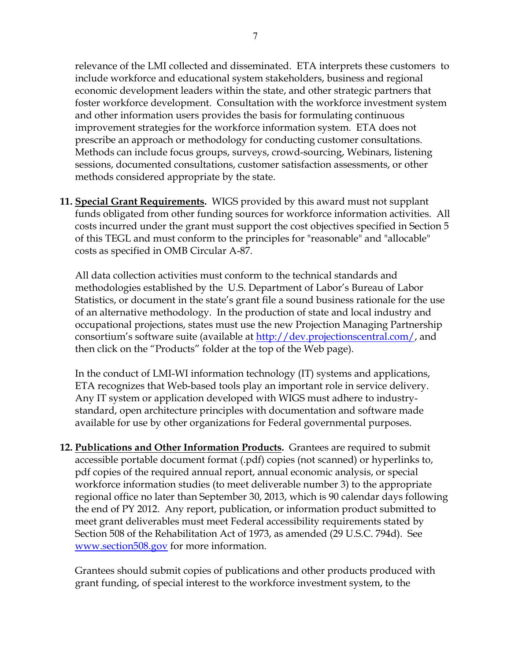relevance of the LMI collected and disseminated. ETA interprets these customers to include workforce and educational system stakeholders, business and regional economic development leaders within the state, and other strategic partners that foster workforce development. Consultation with the workforce investment system and other information users provides the basis for formulating continuous improvement strategies for the workforce information system. ETA does not prescribe an approach or methodology for conducting customer consultations. Methods can include focus groups, surveys, crowd-sourcing, Webinars, listening sessions, documented consultations, customer satisfaction assessments, or other methods considered appropriate by the state.

**11. Special Grant Requirements.** WIGS provided by this award must not supplant funds obligated from other funding sources for workforce information activities. All costs incurred under the grant must support the cost objectives specified in Section 5 of this TEGL and must conform to the principles for "reasonable" and "allocable" costs as specified in OMB Circular A-87.

All data collection activities must conform to the technical standards and methodologies established by the U.S. Department of Labor's Bureau of Labor Statistics, or document in the state's grant file a sound business rationale for the use of an alternative methodology. In the production of state and local industry and occupational projections, states must use the new Projection Managing Partnership consortium's software suite (available at [http://dev.projectionscentral.com/,](http://dev.projectionscentral.com/) and then click on the "Products" folder at the top of the Web page).

In the conduct of LMI-WI information technology (IT) systems and applications, ETA recognizes that Web-based tools play an important role in service delivery. Any IT system or application developed with WIGS must adhere to industrystandard, open architecture principles with documentation and software made available for use by other organizations for Federal governmental purposes.

**12. Publications and Other Information Products.** Grantees are required to submit accessible portable document format (.pdf) copies (not scanned) or hyperlinks to, pdf copies of the required annual report, annual economic analysis, or special workforce information studies (to meet deliverable number 3) to the appropriate regional office no later than September 30, 2013, which is 90 calendar days following the end of PY 2012. Any report, publication, or information product submitted to meet grant deliverables must meet Federal accessibility requirements stated by Section 508 of the Rehabilitation Act of 1973, as amended (29 U.S.C. 794d). See [www.section508.gov](http://www.section508.gov/) for more information.

Grantees should submit copies of publications and other products produced with grant funding, of special interest to the workforce investment system, to the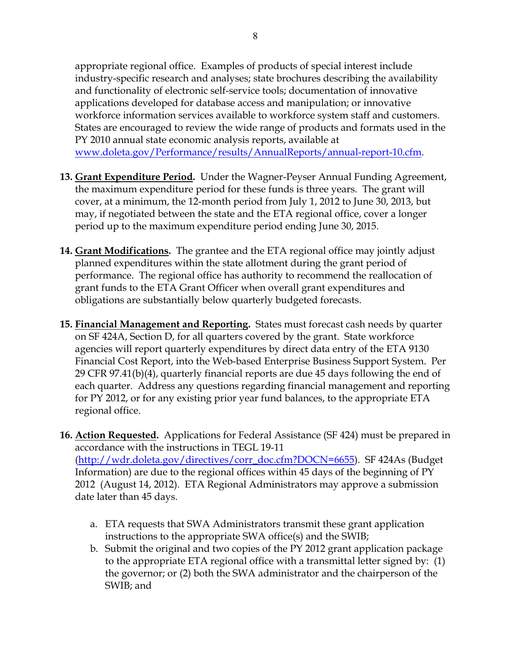appropriate regional office. Examples of products of special interest include industry-specific research and analyses; state brochures describing the availability and functionality of electronic self-service tools; documentation of innovative applications developed for database access and manipulation; or innovative workforce information services available to workforce system staff and customers. States are encouraged to review the wide range of products and formats used in the PY 2010 annual state economic analysis reports, available at [www.doleta.gov/Performance/results/AnnualReports/annual-report-10.cfm.](http://www.doleta.gov/Performance/results/AnnualReports/annual-report-10.cfm)

- **13. Grant Expenditure Period.** Under the Wagner-Peyser Annual Funding Agreement, the maximum expenditure period for these funds is three years. The grant will cover, at a minimum, the 12-month period from July 1, 2012 to June 30, 2013, but may, if negotiated between the state and the ETA regional office, cover a longer period up to the maximum expenditure period ending June 30, 2015.
- **14. Grant Modifications.** The grantee and the ETA regional office may jointly adjust planned expenditures within the state allotment during the grant period of performance. The regional office has authority to recommend the reallocation of grant funds to the ETA Grant Officer when overall grant expenditures and obligations are substantially below quarterly budgeted forecasts.
- **15. Financial Management and Reporting.** States must forecast cash needs by quarter on SF 424A, Section D, for all quarters covered by the grant. State workforce agencies will report quarterly expenditures by direct data entry of the ETA 9130 Financial Cost Report, into the Web-based Enterprise Business Support System. Per 29 CFR 97.41(b)(4), quarterly financial reports are due 45 days following the end of each quarter. Address any questions regarding financial management and reporting for PY 2012, or for any existing prior year fund balances, to the appropriate ETA regional office.
- **16. Action Requested.** Applications for Federal Assistance (SF 424) must be prepared in accordance with the instructions in TEGL 19-11 [\(http://wdr.doleta.gov/directives/corr\\_doc.cfm?DOCN=6655\)](http://wdr.doleta.gov/directives/corr_doc.cfm?DOCN=6655). SF 424As (Budget Information) are due to the regional offices within 45 days of the beginning of PY 2012 (August 14, 2012). ETA Regional Administrators may approve a submission date later than 45 days.
	- a. ETA requests that SWA Administrators transmit these grant application instructions to the appropriate SWA office(s) and the SWIB;
	- b. Submit the original and two copies of the PY 2012 grant application package to the appropriate ETA regional office with a transmittal letter signed by: (1) the governor; or (2) both the SWA administrator and the chairperson of the SWIB; and